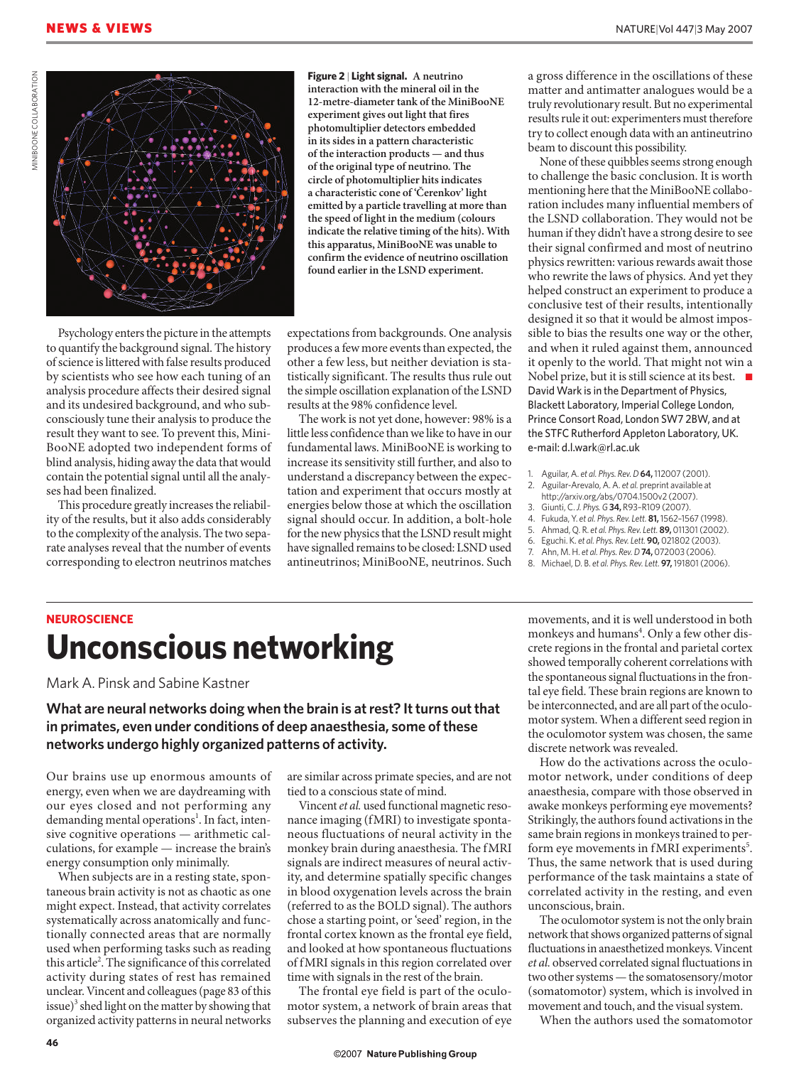

**Figure 2** | **Light signal. A neutrino interaction with the mineral oil in the 12-metre-diameter tank of the MiniBooNE experiment gives out light that fires photomultiplier detectors embedded in its sides in a pattern characteristic of the interaction products — and thus of the original type of neutrino. The circle of photomultiplier hits indicates a characteristic cone of 'Čerenkov' light emitted by a particle travelling at more than the speed of light in the medium (colours indicate the relative timing of the hits). With this apparatus, MiniBooNE was unable to confirm the evidence of neutrino oscillation found earlier in the LSND experiment.**

Psychology enters the picture in the attempts to quantify the background signal. The history of science is littered with false results produced by scientists who see how each tuning of an analysis procedure affects their desired signal and its undesired background, and who subconsciously tune their analysis to produce the result they want to see. To prevent this, Mini-BooNE adopted two independent forms of blind analysis, hiding away the data that would contain the potential signal until all the analyses had been finalized.

This procedure greatly increases the reliability of the results, but it also adds considerably to the complexity of the analysis. The two separate analyses reveal that the number of events corresponding to electron neutrinos matches expectations from backgrounds. One analysis produces a few more events than expected, the other a few less, but neither deviation is statistically significant. The results thus rule out the simple oscillation explanation of the LSND results at the 98% confidence level.

The work is not yet done, however: 98% is a little less confidence than we like to have in our fundamental laws. MiniBooNE is working to increase its sensitivity still further, and also to understand a discrepancy between the expectation and experiment that occurs mostly at energies below those at which the oscillation signal should occur. In addition, a bolt-hole for the new physics that the LSND result might have signalled remains to be closed: LSND used antineutrinos; MiniBooNE, neutrinos. Such

a gross difference in the oscillations of these matter and antimatter analogues would be a truly revolutionary result. But no experimental results rule it out: experimenters must therefore try to collect enough data with an antineutrino beam to discount this possibility.

None of these quibbles seems strong enough to challenge the basic conclusion. It is worth mentioning here that the MiniBooNE collaboration includes many influential members of the LSND collaboration. They would not be human if they didn't have a strong desire to see their signal confirmed and most of neutrino physics rewritten: various rewards await those who rewrite the laws of physics. And yet they helped construct an experiment to produce a conclusive test of their results, intentionally designed it so that it would be almost impossible to bias the results one way or the other, and when it ruled against them, announced it openly to the world. That might not win a Nobel prize, but it is still science at its best. ■ David Wark is in the Department of Physics, Blackett Laboratory, Imperial College London, Prince Consort Road, London SW7 2BW, and at the STFC Rutherford Appleton Laboratory, UK. e-mail: d.l.wark@rl.ac.uk

- 1. Aguilar, A. *et al. Phys. Rev. D***64,** 112007 (2001). 2. Aguilar-Arevalo, A. A. *et al.* preprint available at
- http://arxiv.org/abs/0704.1500v2 (2007).
- 3. Giunti, C. *J. Phys. G* **34,** R93–R109 (2007). 4. Fukuda, Y. *et al. Phys. Rev. Lett.* **81,** 1562–1567 (1998).
- 5. Ahmad, Q. R. *et al. Phys. Rev. Lett.* **89,** 011301 (2002).
- 6. Eguchi. K. *et al. Phys. Rev. Lett.* **90,** 021802 (2003).
- 7. Ahn, M. H. *et al. Phys. Rev. D***74,** 072003 (2006).
- 8. Michael, D. B. *et al. Phys. Rev. Lett.* **97,** 191801 (2006).

## **NEUROSCIENCE Unconscious networking**

Mark A. Pinsk and Sabine Kastner

**What are neural networks doing when the brain is at rest? It turns out that in primates, even under conditions of deep anaesthesia, some of these networks undergo highly organized patterns of activity.**

Our brains use up enormous amounts of energy, even when we are daydreaming with our eyes closed and not performing any demanding mental operations<sup>1</sup>. In fact, intensive cognitive operations — arithmetic calculations, for example — increase the brain's energy consumption only minimally.

When subjects are in a resting state, spontaneous brain activity is not as chaotic as one might expect. Instead, that activity correlates systematically across anatomically and functionally connected areas that are normally used when performing tasks such as reading this article<sup>2</sup>. The significance of this correlated activity during states of rest has remained unclear. Vincent and colleagues (page 83 of this issue)<sup>3</sup> shed light on the matter by showing that organized activity patterns in neural networks

are similar across primate species, and are not tied to a conscious state of mind.

Vincent *et al.* used functional magnetic resonance imaging (fMRI) to investigate spontaneous fluctuations of neural activity in the monkey brain during anaesthesia. The fMRI signals are indirect measures of neural activity, and determine spatially specific changes in blood oxygenation levels across the brain (referred to as the BOLD signal). The authors chose a starting point, or 'seed' region, in the frontal cortex known as the frontal eye field, and looked at how spontaneous fluctuations of fMRI signals in this region correlated over time with signals in the rest of the brain.

The frontal eye field is part of the oculomotor system, a network of brain areas that subserves the planning and execution of eye

movements, and it is well understood in both monkeys and humans<sup>4</sup>. Only a few other discrete regions in the frontal and parietal cortex showed temporally coherent correlations with the spontaneous signal fluctuations in the frontal eye field. These brain regions are known to be interconnected, and are all part of the oculomotor system. When a different seed region in the oculomotor system was chosen, the same discrete network was revealed.

How do the activations across the oculomotor network, under conditions of deep anaesthesia, compare with those observed in awake monkeys performing eye movements? Strikingly, the authors found activations in the same brain regions in monkeys trained to perform eye movements in fMRI experiments<sup>5</sup>. Thus, the same network that is used during performance of the task maintains a state of correlated activity in the resting, and even unconscious, brain.

The oculomotor system is not the only brain network that shows organized patterns of signal fluctuations in anaesthetized monkeys. Vincent *et al.* observed correlated signal fluctuations in two other systems — the somatosensory/motor (somatomotor) system, which is involved in movement and touch, and the visual system.

When the authors used the somatomotor